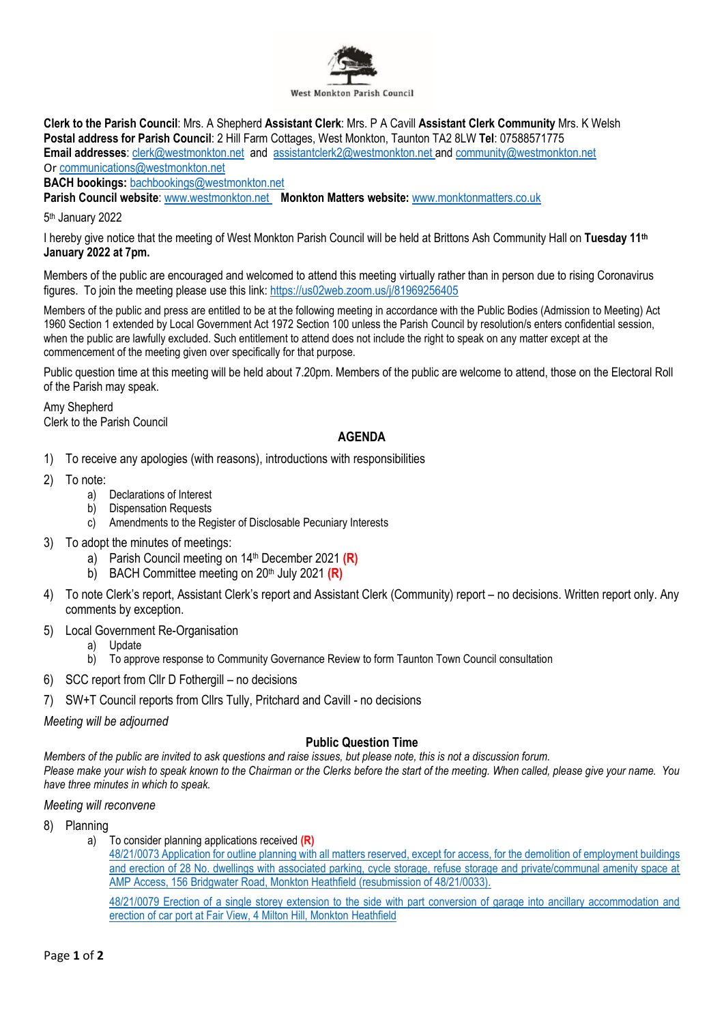

**Clerk to the Parish Council**: Mrs. A Shepherd **Assistant Clerk**: Mrs. P A Cavill **Assistant Clerk Community** Mrs. K Welsh **Postal address for Parish Council**: 2 Hill Farm Cottages, West Monkton, Taunton TA2 8LW **Tel**: 07588571775 **Email addresses**: [clerk@westmonkton.net](mailto:clerk@westmonkton.net) and [assistantclerk2@westmonkton.net](mailto:assistantclerk2@westmonkton.net) an[d community@westmonkton.net](mailto:community@westmonkton.net) Or [communications@westmonkton.net](mailto:communications@westmonkton.net)

**BACH bookings:** [bachbookings@westmonkton.net](mailto:bachbookings@westmonkton.net)

**Parish Council website**: [www.westmonkton.net](http://www.westmonkton.net/) **Monkton Matters website:** [www.monktonmatters.co.uk](http://www.monktonmatters.co.uk/)

5 th January 2022

I hereby give notice that the meeting of West Monkton Parish Council will be held at Brittons Ash Community Hall on **Tuesday 11 th January 2022 at 7pm.**

Members of the public are encouraged and welcomed to attend this meeting virtually rather than in person due to rising Coronavirus figures. To join the meeting please use this link:<https://us02web.zoom.us/j/81969256405>

Members of the public and press are entitled to be at the following meeting in accordance with the Public Bodies (Admission to Meeting) Act 1960 Section 1 extended by Local Government Act 1972 Section 100 unless the Parish Council by resolution/s enters confidential session, when the public are lawfully excluded. Such entitlement to attend does not include the right to speak on any matter except at the commencement of the meeting given over specifically for that purpose.

Public question time at this meeting will be held about 7.20pm. Members of the public are welcome to attend, those on the Electoral Roll of the Parish may speak.

Amy Shepherd Clerk to the Parish Council

# **AGENDA**

- 1) To receive any apologies (with reasons), introductions with responsibilities
- 2) To note:
	- a) Declarations of Interest
	- b) Dispensation Requests
	- c) Amendments to the Register of Disclosable Pecuniary Interests
- 3) To adopt the minutes of meetings:
	- a) Parish Council meeting on 14th December 2021 **(R)**
	- b) BACH Committee meeting on 20<sup>th</sup> July 2021 (R)
- 4) To note Clerk's report, Assistant Clerk's report and Assistant Clerk (Community) report no decisions. Written report only. Any comments by exception.
- 5) Local Government Re-Organisation
	- a) Update
	- b) To approve response to Community Governance Review to form Taunton Town Council consultation
- 6) SCC report from Cllr D Fothergill no decisions
- 7) SW+T Council reports from Cllrs Tully, Pritchard and Cavill no decisions

*Meeting will be adjourned*

## **Public Question Time**

*Members of the public are invited to ask questions and raise issues, but please note, this is not a discussion forum. Please make your wish to speak known to the Chairman or the Clerks before the start of the meeting. When called, please give your name. You have three minutes in which to speak.*

### *Meeting will reconvene*

- 8) Planning
	- a) To consider planning applications received **(R)**
		- [48/21/0073 Application for outline planning with all matters reserved, except for access, for the demolition of employment buildings](https://www3.somersetwestandtaunton.gov.uk/asp/webpages/plan/PlAppDets.asp?casefullref=48/21/0073&QC=7VWC1)  [and erection of 28 No. dwellings with associated parking, cycle storage, refuse storage and private/communal amenity space at](https://www3.somersetwestandtaunton.gov.uk/asp/webpages/plan/PlAppDets.asp?casefullref=48/21/0073&QC=7VWC1)  [AMP Access, 156 Bridgwater Road, Monkton Heathfield \(resubmission of 48/21/0033\).](https://www3.somersetwestandtaunton.gov.uk/asp/webpages/plan/PlAppDets.asp?casefullref=48/21/0073&QC=7VWC1)

[48/21/0079 Erection of a single storey extension to the side with part conversion of garage into ancillary accommodation and](https://www3.somersetwestandtaunton.gov.uk/asp/webpages/plan/PlAppDets.asp?casefullref=48/21/0079&QC=7VWC1)  [erection of car port at Fair View, 4 Milton Hill, Monkton](https://www3.somersetwestandtaunton.gov.uk/asp/webpages/plan/PlAppDets.asp?casefullref=48/21/0079&QC=7VWC1) Heathfield